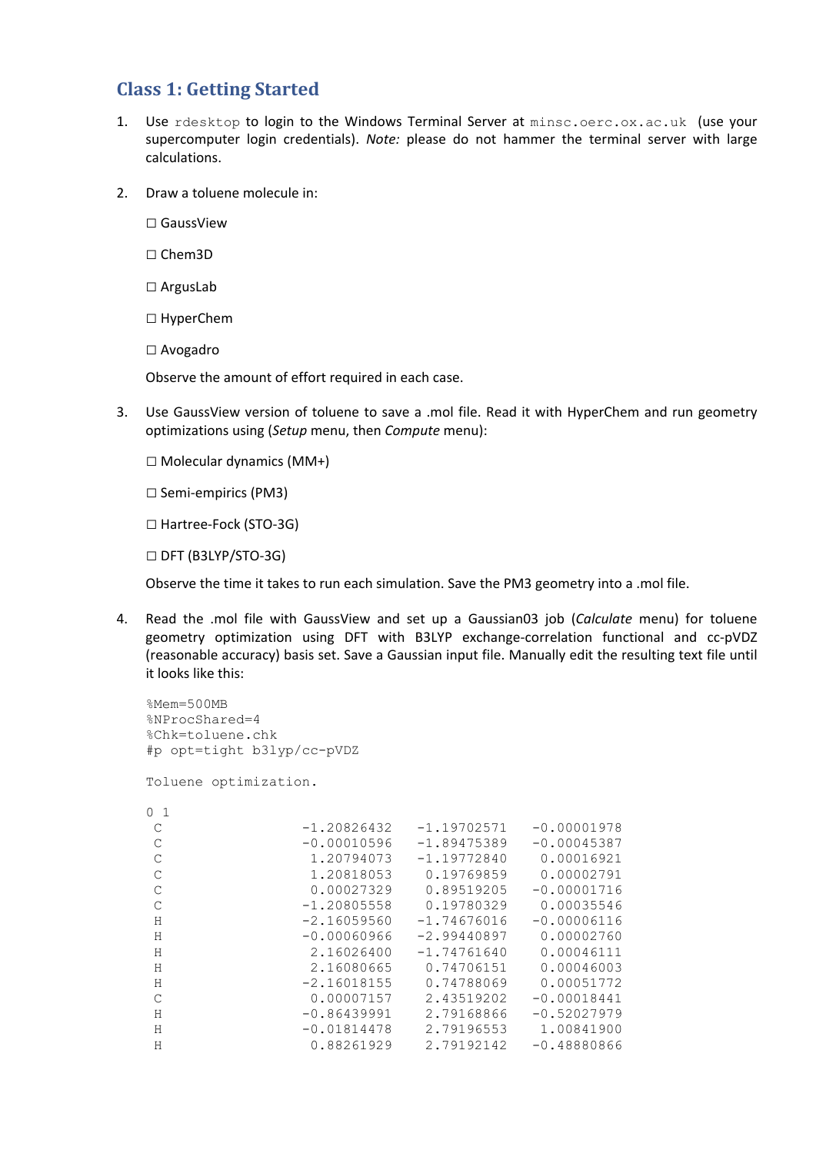## **Class 1: Getting Started**

- 1. Use rdesktop to login to the Windows Terminal Server at minsc.oerc.ox.ac.uk (use your supercomputer login credentials). *Note:* please do not hammer the terminal server with large calculations.
- 2. Draw a toluene molecule in:
	- □ GaussView
	- □ Chem3D
	- □ ArgusLab
	- □ HyperChem
	- □ Avogadro

Observe the amount of effort required in each case.

- 3. Use GaussView version of toluene to save a .mol file. Read it with HyperChem and run geometry optimizations using (*Setup* menu, then *Compute* menu):
	- □ Molecular dynamics (MM+)
	- □ Semi-empirics (PM3)
	- □ Hartree-Fock (STO-3G)
	- □ DFT (B3LYP/STO‐3G)

Observe the time it takes to run each simulation. Save the PM3 geometry into a .mol file.

4. Read the .mol file with GaussView and set up a Gaussian03 job (*Calculate* menu) for toluene geometry optimization using DFT with B3LYP exchange-correlation functional and cc-pVDZ (reasonable accuracy) basis set. Save a Gaussian input file. Manually edit the resulting text file until it looks like this:

```
%Mem=500MB 
%NProcShared=4 
%Chk=toluene.chk 
#p opt=tight b3lyp/cc-pVDZ 
Toluene optimization. 
0 1 
 C -1.20826432 -1.19702571 -0.00001978 
C -0.00010596 -1.89475389 -0.00045387
C 1.20794073 -1.19772840 0.00016921<br>C 1.20818053 0.19769859 0.00002791
C 1.20818053 0.19769859 0.00002791<br>C 0.00027329 0.89519205 -0.00001716
C 0.00027329 0.89519205 -0.00001716<br>C -1.20805558 0.19780329 0.00035546
                  C -1.20805558 0.19780329 0.00035546 
H -2.16059560 -1.74676016 -0.00006116
H -0.00060966 -2.99440897 0.00002760 H 2.16026400 -1.74761640 0.00046111 
 H 2.16080665 0.74706151 0.00046003 
H -2.16018155 0.74788069 0.00051772
 C 0.00007157 2.43519202 -0.00018441 
H -0.86439991 2.79168866 -0.52027979<br>H -0.01814478 2.79196553 1.00841900
H -0.01814478 2.79196553 1.00841900<br>H 0.88261929 2.79192142 -0.48880866
H 0.88261929 2.79192142
```